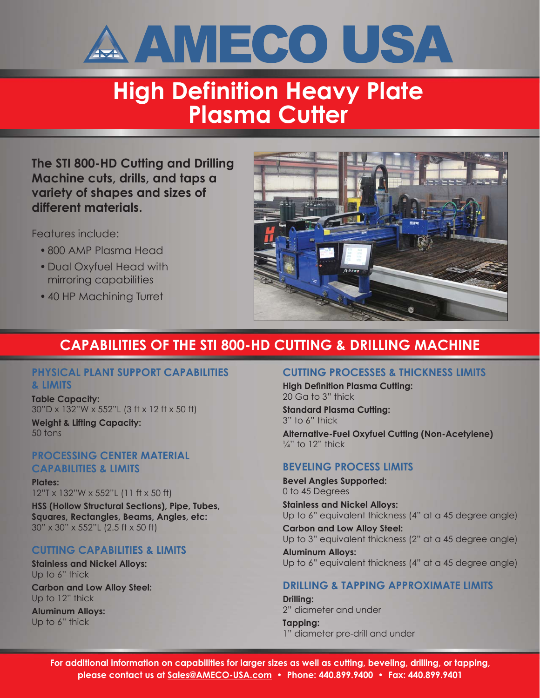

## **High Definition Heavy Plate Plasma Cutter**

**The STI 800-HD Cutting and Drilling Machine cuts, drills, and taps a variety of shapes and sizes of different materials.**

Features include:

- 800 AMP Plasma Head
- Dual Oxyfuel Head with mirroring capabilities
- 40 HP Machining Turret



### **CAPABILITIES OF THE STI 800-HD CUTTING & DRILLING MACHINE**

#### **PHYSICAL PLANT SUPPORT CAPABILITIES & LIMITS**

**Table Capacity:** 30"D x 132"W x 552"L (3 ft x 12 ft x 50 ft) **Weight & Lifting Capacity:** 50 tons

### **PROCESSING CENTER MATERIAL CAPABILITIES & LIMITS**

**Plates:** 12"T x 132"W x 552"L (11 ft x 50 ft)

**HSS (Hollow Structural Sections), Pipe, Tubes, Squares, Rectangles, Beams, Angles, etc:** 30" x 30" x 552"L (2.5 ft x 50 ft)

### **CUTTING CAPABILITIES & LIMITS**

**Stainless and Nickel Alloys:** Up to 6" thick

**Carbon and Low Alloy Steel:** Up to 12" thick

**Aluminum Alloys:** Up to 6" thick

### **CUTTING PROCESSES & THICKNESS LIMITS**

**High Definition Plasma Cutting:** 20 Ga to 3" thick

**Standard Plasma Cutting:** 3" to 6" thick

**Alternative-Fuel Oxyfuel Cutting (Non-Acetylene)**  $\frac{1}{4}$ " to 12" thick

### **BEVELING PROCESS LIMITS**

**Bevel Angles Supported:** 0 to 45 Degrees

**Stainless and Nickel Alloys:** Up to 6" equivalent thickness (4" at a 45 degree angle)

**Carbon and Low Alloy Steel:** Up to 3" equivalent thickness (2" at a 45 degree angle)

**Aluminum Alloys:** Up to 6" equivalent thickness (4" at a 45 degree angle)

### **DRILLING & TAPPING APPROXIMATE LIMITS**

**Drilling:** 2" diameter and under **Tapping:**

1" diameter pre-drill and under